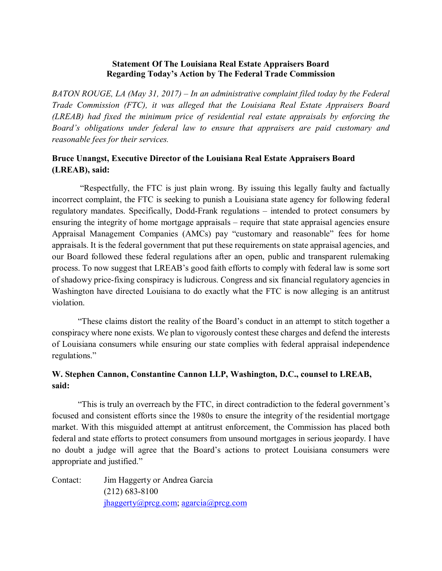### **Statement Of The Louisiana Real Estate Appraisers Board Regarding Today's Action by The Federal Trade Commission**

*BATON ROUGE, LA (May 31, 2017) – In an administrative complaint filed today by the Federal Trade Commission (FTC), it was alleged that the Louisiana Real Estate Appraisers Board (LREAB) had fixed the minimum price of residential real estate appraisals by enforcing the Board's obligations under federal law to ensure that appraisers are paid customary and reasonable fees for their services.*

## **Bruce Unangst, Executive Director of the Louisiana Real Estate Appraisers Board (LREAB), said:**

"Respectfully, the FTC is just plain wrong. By issuing this legally faulty and factually incorrect complaint, the FTC is seeking to punish a Louisiana state agency for following federal regulatory mandates. Specifically, Dodd-Frank regulations – intended to protect consumers by ensuring the integrity of home mortgage appraisals – require that state appraisal agencies ensure Appraisal Management Companies (AMCs) pay "customary and reasonable" fees for home appraisals. It is the federal government that put these requirements on state appraisal agencies, and our Board followed these federal regulations after an open, public and transparent rulemaking process. To now suggest that LREAB's good faith efforts to comply with federal law is some sort of shadowy price-fixing conspiracy is ludicrous. Congress and six financial regulatory agencies in Washington have directed Louisiana to do exactly what the FTC is now alleging is an antitrust violation.

"These claims distort the reality of the Board's conduct in an attempt to stitch together a conspiracy where none exists. We plan to vigorously contest these charges and defend the interests of Louisiana consumers while ensuring our state complies with federal appraisal independence regulations."

# **W. Stephen Cannon, Constantine Cannon LLP, Washington, D.C., counsel to LREAB, said:**

"This is truly an overreach by the FTC, in direct contradiction to the federal government's focused and consistent efforts since the 1980s to ensure the integrity of the residential mortgage market. With this misguided attempt at antitrust enforcement, the Commission has placed both federal and state efforts to protect consumers from unsound mortgages in serious jeopardy. I have no doubt a judge will agree that the Board's actions to protect Louisiana consumers were appropriate and justified."

Contact: Jim Haggerty or Andrea Garcia (212) 683-8100 [jhaggerty@prcg.com;](mailto:jhaggerty@prcg.com) [agarcia@prcg.com](mailto:agarcia@prcg.com)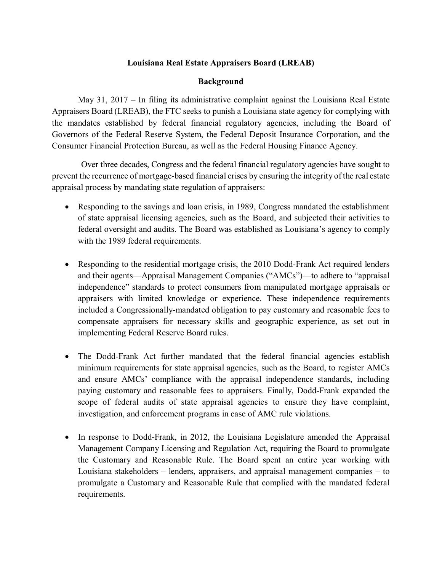### **Louisiana Real Estate Appraisers Board (LREAB)**

### **Background**

May 31, 2017 – In filing its administrative complaint against the Louisiana Real Estate Appraisers Board (LREAB), the FTC seeks to punish a Louisiana state agency for complying with the mandates established by federal financial regulatory agencies, including the Board of Governors of the Federal Reserve System, the Federal Deposit Insurance Corporation, and the Consumer Financial Protection Bureau, as well as the Federal Housing Finance Agency.

Over three decades, Congress and the federal financial regulatory agencies have sought to prevent the recurrence of mortgage-based financial crises by ensuring the integrity of the real estate appraisal process by mandating state regulation of appraisers:

- Responding to the savings and loan crisis, in 1989, Congress mandated the establishment of state appraisal licensing agencies, such as the Board, and subjected their activities to federal oversight and audits. The Board was established as Louisiana's agency to comply with the 1989 federal requirements.
- Responding to the residential mortgage crisis, the 2010 Dodd-Frank Act required lenders and their agents—Appraisal Management Companies ("AMCs")—to adhere to "appraisal independence" standards to protect consumers from manipulated mortgage appraisals or appraisers with limited knowledge or experience. These independence requirements included a Congressionally-mandated obligation to pay customary and reasonable fees to compensate appraisers for necessary skills and geographic experience, as set out in implementing Federal Reserve Board rules.
- The Dodd-Frank Act further mandated that the federal financial agencies establish minimum requirements for state appraisal agencies, such as the Board, to register AMCs and ensure AMCs' compliance with the appraisal independence standards, including paying customary and reasonable fees to appraisers. Finally, Dodd-Frank expanded the scope of federal audits of state appraisal agencies to ensure they have complaint, investigation, and enforcement programs in case of AMC rule violations.
- In response to Dodd-Frank, in 2012, the Louisiana Legislature amended the Appraisal Management Company Licensing and Regulation Act, requiring the Board to promulgate the Customary and Reasonable Rule. The Board spent an entire year working with Louisiana stakeholders – lenders, appraisers, and appraisal management companies – to promulgate a Customary and Reasonable Rule that complied with the mandated federal requirements.